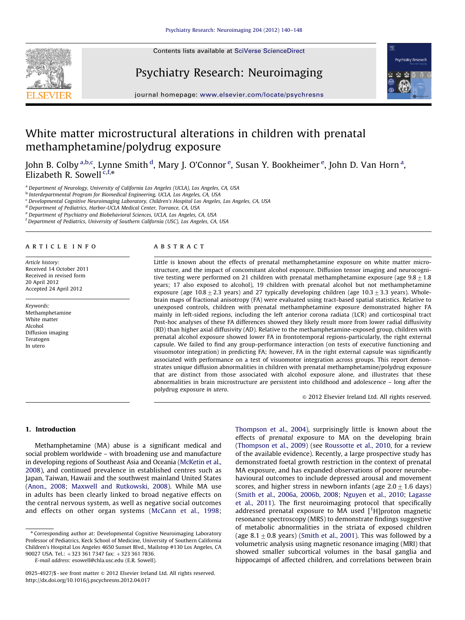Contents lists available at [SciVerse ScienceDirect](www.elsevier.com/locate/psychresns)







journal homepage: <www.elsevier.com/locate/psychresns>

# White matter microstructural alterations in children with prenatal methamphetamine/polydrug exposure

John B. Colby <sup>a,b,c</sup>, Lynne Smith <sup>d</sup>, Mary J. O'Connor <sup>e</sup>, Susan Y. Bookheimer <sup>e</sup>, John D. Van Horn <sup>a</sup>, Elizabeth R. Sowell  $c, f, *$ 

<sup>a</sup> Department of Neurology, University of California Los Angeles (UCLA), Los Angeles, CA, USA

<sup>b</sup> Interdepartmental Program for Biomedical Engineering, UCLA, Los Angeles, CA, USA

<sup>c</sup> Developmental Cognitive Neuroimaging Laboratory, Children's Hospital Los Angeles, Los Angeles, CA, USA

<sup>d</sup> Department of Pediatrics, Harbor-UCLA Medical Center, Torrance, CA, USA

<sup>e</sup> Department of Psychiatry and Biobehavioral Sciences, UCLA, Los Angeles, CA, USA

<sup>f</sup> Department of Pediatrics, University of Southern California (USC), Los Angeles, CA, USA

#### article info

Article history: Received 14 October 2011 Received in revised form 20 April 2012 Accepted 24 April 2012

Keywords: Methamphetamine White matter Alcohol Diffusion imaging Teratogen In utero

#### abstract

Little is known about the effects of prenatal methamphetamine exposure on white matter microstructure, and the impact of concomitant alcohol exposure. Diffusion tensor imaging and neurocognitive testing were performed on 21 children with prenatal methamphetamine exposure (age  $9.8\pm1.8$ ) years; 17 also exposed to alcohol), 19 children with prenatal alcohol but not methamphetamine exposure (age 10.8  $\pm$  2.3 years) and 27 typically developing children (age 10.3  $\pm$  3.3 years). Wholebrain maps of fractional anisotropy (FA) were evaluated using tract-based spatial statistics. Relative to unexposed controls, children with prenatal methamphetamine exposure demonstrated higher FA mainly in left-sided regions, including the left anterior corona radiata (LCR) and corticospinal tract Post-hoc analyses of these FA differences showed they likely result more from lower radial diffusivity (RD) than higher axial diffusivity (AD). Relative to the methamphetamine-exposed group, children with prenatal alcohol exposure showed lower FA in frontotemporal regions-particularly, the right external capsule. We failed to find any group-performance interaction (on tests of executive functioning and visuomotor integration) in predicting FA; however, FA in the right external capsule was significantly associated with performance on a test of visuomotor integration across groups. This report demonstrates unique diffusion abnormalities in children with prenatal methamphetamine/polydrug exposure that are distinct from those associated with alcohol exposure alone, and illustrates that these abnormalities in brain microstructure are persistent into childhood and adolescence – long after the polydrug exposure in utero.

 $©$  2012 Elsevier Ireland Ltd. All rights reserved.

## 1. Introduction

Methamphetamine (MA) abuse is a significant medical and social problem worldwide – with broadening use and manufacture in developing regions of Southeast Asia and Oceania ([McKetin et al.,](#page-7-0) [2008\)](#page-7-0), and continued prevalence in established centres such as Japan, Taiwan, Hawaii and the southwest mainland United States ([Anon., 2008;](#page-7-0) [Maxwell and Rutkowski, 2008\)](#page-7-0). While MA use in adults has been clearly linked to broad negative effects on the central nervous system, as well as negative social outcomes and effects on other organ systems ([McCann et al., 1998;](#page-7-0)

E-mail address: [esowell@chla.usc.edu \(E.R. Sowell\)](mailto:esowell@chla.usc.edu).

[Thompson et al., 2004\)](#page-8-0), surprisingly little is known about the effects of prenatal exposure to MA on the developing brain ([Thompson et al., 2009\)](#page-8-0) (see [Roussotte et al., 2010](#page-7-0), for a review of the available evidence). Recently, a large prospective study has demonstrated foetal growth restriction in the context of prenatal MA exposure, and has expanded observations of poorer neurobehavioural outcomes to include depressed arousal and movement scores, and higher stress in newborn infants (age  $2.0\pm1.6$  days) ([Smith et al., 2006a,](#page-7-0) [2006b,](#page-8-0) [2008;](#page-7-0) [Nguyen et al., 2010](#page-7-0); [Lagasse](#page-7-0) [et al., 2011](#page-7-0)). The first neuroimaging protocol that specifically addressed prenatal exposure to MA used  $[$ <sup>1</sup>H]proton magnetic resonance spectroscopy (MRS) to demonstrate findings suggestive of metabolic abnormalities in the striata of exposed children (age  $8.1\pm0.8$  years) [\(Smith et al., 2001\)](#page-7-0). This was followed by a volumetric analysis using magnetic resonance imaging (MRI) that showed smaller subcortical volumes in the basal ganglia and hippocampi of affected children, and correlations between brain

<sup>n</sup> Corresponding author at: Developmental Cognitive Neuroimaging Laboratory Professor of Pediatrics, Keck School of Medicine, University of Southern California Children's Hospital Los Angeles 4650 Sunset Blvd., Mailstop #130 Los Angeles, CA 90027 USA. Tel.: +323 361 7347 fax: +323 361 7836.

<sup>0925-4927/\$ -</sup> see front matter @ 2012 Elsevier Ireland Ltd. All rights reserved. [http://dx.doi.org/10.1016/j.pscychresns.2012.04.017](dx.doi.org/10.1016/j.pscychresns.2012.04.017)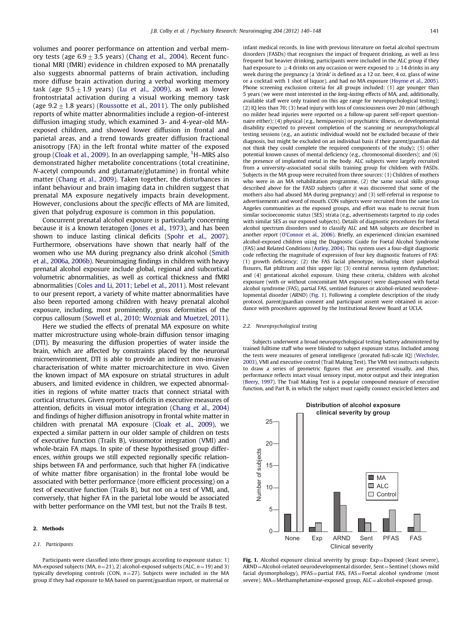<span id="page-1-0"></span>volumes and poorer performance on attention and verbal memory tests (age  $6.9\pm3.5$  years) [\(Chang et al., 2004](#page-7-0)). Recent functional MRI (fMRI) evidence in children exposed to MA prenatally also suggests abnormal patterns of brain activation, including more diffuse brain activation during a verbal working memory task (age  $9.5\pm1.9$  years) [\(Lu et al., 2009\)](#page-7-0), as well as lower frontostriatal activation during a visual working memory task (age  $9.2 \pm 1.8$  years) [\(Roussotte et al., 2011](#page-7-0)). The only published reports of white matter abnormalities include a region-of-interest diffusion imaging study, which examined 3- and 4-year-old MAexposed children, and showed lower diffusion in frontal and parietal areas, and a trend towards greater diffusion fractional anisotropy (FA) in the left frontal white matter of the exposed group [\(Cloak et al., 2009\)](#page-7-0). In an overlapping sample, <sup>1</sup>H–MRS also demonstrated higher metabolite concentrations (total creatinine, N-acetyl compounds and glutamate/glutamine) in frontal white matter ([Chang et al., 2009](#page-7-0)). Taken together, the disturbances in infant behaviour and brain imaging data in children suggest that prenatal MA exposure negatively impacts brain development. However, conclusions about the specific effects of MA are limited, given that polydrug exposure is common in this population.

Concurrent prenatal alcohol exposure is particularly concerning because it is a known teratogen [\(Jones et al., 1973](#page-7-0)), and has been shown to induce lasting clinical deficits [\(Spohr et al., 2007\)](#page-8-0). Furthermore, observations have shown that nearly half of the women who use MA during pregnancy also drink alcohol ([Smith](#page-7-0) [et al., 2006a](#page-7-0), [2006b\)](#page-8-0). Neuroimaging findings in children with heavy prenatal alcohol exposure include global, regional and subcortical volumetric abnormalities, as well as cortical thickness and fMRI abnormalities [\(Coles and Li, 2011;](#page-7-0) [Lebel et al., 2011\)](#page-7-0). Most relevant to our present report, a variety of white matter abnormalities have also been reported among children with heavy prenatal alcohol exposure, including, most prominently, gross deformities of the corpus callosum [\(Sowell et al., 2010;](#page-8-0) [Wozniak and Muetzel, 2011\)](#page-8-0).

Here we studied the effects of prenatal MA exposure on white matter microstructure using whole-brain diffusion tensor imaging (DTI). By measuring the diffusion properties of water inside the brain, which are affected by constraints placed by the neuronal microenvironment, DTI is able to provide an indirect non-invasive characterisation of white matter microarchitecture in vivo. Given the known impact of MA exposure on striatal structures in adult abusers, and limited evidence in children, we expected abnormalities in regions of white matter tracts that connect striatal with cortical structures. Given reports of deficits in executive measures of attention, deficits in visual motor integration [\(Chang et al., 2004\)](#page-7-0) and findings of higher diffusion anisotropy in frontal white matter in children with prenatal MA exposure ([Cloak et al., 2009\)](#page-7-0), we expected a similar pattern in our older sample of children on tests of executive function (Trails B), visuomotor integration (VMI) and whole-brain FA maps. In spite of these hypothesised group differences, within groups we still expected regionally specific relationships between FA and performance, such that higher FA (indicative of white matter fibre organisation) in the frontal lobe would be associated with better performance (more efficient processing) on a test of executive function (Trails B), but not on a test of VMI, and, conversely, that higher FA in the parietal lobe would be associated with better performance on the VMI test, but not the Trails B test.

#### 2. Methods

#### 2.1. Participants

Participants were classified into three groups according to exposure status: 1) MA-exposed subjects (MA,  $n=21$ ), 2) alcohol-exposed subjects (ALC,  $n=19$ ) and 3) typically developing controls (CON,  $n=27$ ). Subjects were included in the MA group if they had exposure to MA based on parent/guardian report, or maternal or infant medical records. In line with previous literature on foetal alcohol spectrum disorders (FASDs) that recognises the impact of frequent drinking, as well as less frequent but heavier drinking, participants were included in the ALC group if they had exposure to  $\geq$  4 drinks on any occasion or were exposed to  $\geq$  14 drinks in any week during the pregnancy (a 'drink' is defined as a 12 oz. beer, 4 oz. glass of wine or a cocktail with 1 shot of liquor), and had no MA exposure [\(Hoyme et al., 2005\)](#page-7-0). Phone screening exclusion criteria for all groups included: (1) age younger than 5 years (we were most interested in the long-lasting effects of MA, and, additionally, available staff were only trained on this age range for neuropsychological testing); (2) IQ less than 70; (3) head injury with loss of consciousness over 20 min (although no milder head injuries were reported on a follow-up parent self-report questionnaire either); (4) physical (e.g., hemiparesis) or psychiatric illness, or developmental disability expected to prevent completion of the scanning or neuropsychological testing sessions (e.g., an autistic individual would not be excluded because of their diagnosis, but might be excluded on an individual basis if their parent/guardian did not think they could complete the required components of the study); (5) other potential known causes of mental deficiency (e.g., chromosomal disorders); and (6) the presence of implanted metal in the body. ALC subjects were largely recruited from a university-associated social skills training group for children with FASDs. Subjects in the MA group were recruited from three sources: (1) Children of mothers who were in an MA rehabilitation programme, (2) the same social skills group described above for the FASD subjects (after it was discovered that some of the mothers also had abused MA during pregnancy) and (3) self-referral in response to advertisements and word of mouth. CON subjects were recruited from the same Los Angeles communities as the exposed groups, and effort was made to recruit from similar socioeconomic status (SES) strata (e.g., advertisements targeted to zip codes with similar SES as our exposed subjects). Details of diagnostic procedures for foetal alcohol spectrum disorders used to classify ALC and MA subjects are described in another report [\(O'Connor et al., 2006](#page-7-0)). Briefly, an experienced clinician examined alcohol-exposed children using the Diagnostic Guide for Foetal Alcohol Syndrome (FAS) and Related Conditions [\(Astley, 2004\)](#page-7-0). This system uses a four-digit diagnostic code reflecting the magnitude of expression of four key diagnostic features of FAS: (1) growth deficiency; (2) the FAS facial phenotype, including short palpebral fissures, flat philtrum and thin upper lip; (3) central nervous system dysfunction; and (4) gestational alcohol exposure. Using these criteria, children with alcohol exposure (with or without concomitant MA exposure) were diagnosed with foetal alcohol syndrome (FAS), partial FAS, sentinel features or alcohol-related neurodevelopmental disorder (ARND) (Fig. 1). Following a complete description of the study protocol, parent/guardian consent and participant assent were obtained in accordance with procedures approved by the Institutional Review Board at UCLA.

#### 2.2. Neuropsychological testing

Subjects underwent a broad neuropsychological testing battery administered by trained fulltime staff who were blinded to subject exposure status. Included among the tests were measures of general intelligence (prorated full-scale IQ) [\(Wechsler,](#page-8-0) [2003](#page-8-0)), VMI and executive control (Trail Making Test). The VMI test instructs subjects to draw a series of geometric figures that are presented visually, and thus, performance reflects intact visual sensory input, motor output and their integration [\(Beery, 1997\)](#page-7-0). The Trail Making Test is a popular compound measure of executive function, and Part B, in which the subject must rapidly connect encircled letters and



Fig. 1. Alcohol exposure clinical severity by group:  $Exp = Exposed$  (least severe),  $ARND = Alcohol-related$  neurodevelopmental disorder, Sent $=$ Sentinel (shows mild facial dysmorphology), PFAS=partial FAS, FAS=Foetal alcohol syndrome (most severe). MA=Methamphetamine-exposed group, ALC=alcohol-exposed group.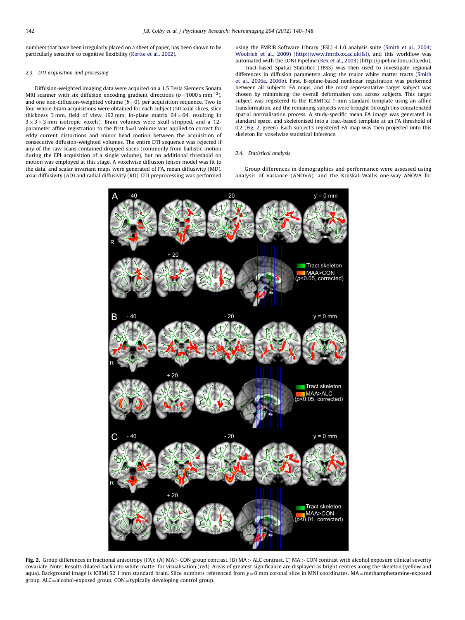<span id="page-2-0"></span>numbers that have been irregularly placed on a sheet of paper, has been shown to be particularly sensitive to cognitive flexibility [\(Kortte et al., 2002](#page-7-0)).

#### 2.3. DTI acquisition and processing

Diffusion-weighted imaging data were acquired on a 1.5 Tesla Siemens Sonata MRI scanner with six diffusion encoding gradient directions ( $b$ =1000 s mm<sup>-2</sup>), and one non-diffusion-weighted volume  $(b=0)$ , per acquisition sequence. Two to four whole-brain acquisitions were obtained for each subject (50 axial slices, slice thickness 3 mm, field of view 192 mm, in-plane matrix  $64 \times 64$ , resulting in  $3 \times 3 \times 3$  mm isotropic voxels). Brain volumes were skull stripped, and a 12parameter affine registration to the first  $b=0$  volume was applied to correct for eddy current distortions and minor head motion between the acquisition of consecutive diffusion-weighted volumes. The entire DTI sequence was rejected if any of the raw scans contained dropped slices (commonly from ballistic motion during the EPI acquisition of a single volume), but no additional threshold on motion was employed at this stage. A voxelwise diffusion tensor model was fit to the data, and scalar invariant maps were generated of FA, mean diffusivity (MD), axial diffusivity (AD) and radial diffusivity (RD). DTI preprocessing was performed using the FMRIB Software Library (FSL) 4.1.0 analysis suite ([Smith et al., 2004](#page-8-0); [Woolrich et al., 2009](#page-8-0)) (<http://www.fmrib.ox.ac.uk/fsl>), and this workflow was automated with the LONI Pipeline [\(Rex et al., 2003\)](#page-7-0) (http://pipeline.loni.ucla.edu).

Tract-based Spatial Statistics (TBSS) was then used to investigate regional differences in diffusion parameters along the major white matter tracts [\(Smith](#page-7-0) [et al., 2006a,](#page-7-0) [2006b](#page-8-0)). First, B-spline-based nonlinear registration was performed between all subjects' FA maps, and the most representative target subject was chosen by minimising the overall deformation cost across subjects. This target subject was registered to the ICBM152 1-mm standard template using an affine transformation, and the remaining subjects were brought through this concatenated spatial normalisation process. A study-specific mean FA image was generated in standard space, and skeletonised into a tract-based template at an FA threshold of 0.2 (Fig. 2, green). Each subject's registered FA map was then projected onto this skeleton for voxelwise statistical inference.

#### 2.4. Statistical analysis

Group differences in demographics and performance were assessed using analysis of variance (ANOVA), and the Kruskal–Wallis one-way ANOVA for



Fig. 2. Group differences in fractional anisotropy (FA): (A) MA > CON group contrast. (B) MA > ALC contrast. C) MA > CON contrast with alcohol exposure clinical severity covariate. Note: Results dilated back into white matter for visualisation (red). Areas of greatest significance are displayed as bright centres along the skeleton (yellow and aqua). Background image is ICBM152 1 mm standard brain. Slice numbers referenced from  $y=0$  mm coronal slice in MNI coordinates. MA=methamphetamine-exposed group, ALC=alcohol-exposed group, CON=typically developing control group.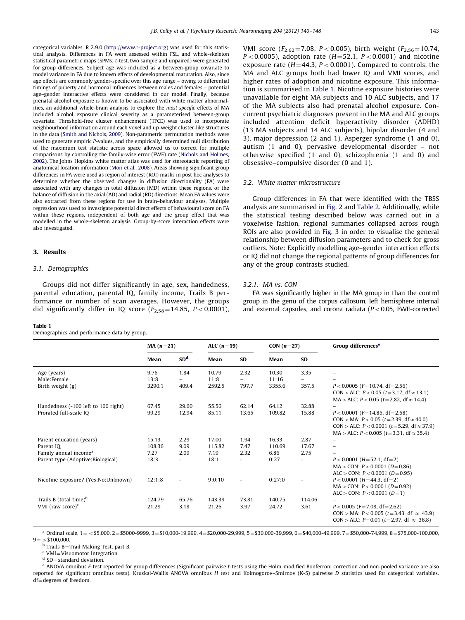categorical variables. R 2.9.0 [\(http://www.r-project.org](http://www.r-project.org)) was used for this statistical analysis. Differences in FA were assessed within FSL, and whole-skeleton statistical parametric maps (SPMs; t-test, two sample and unpaired) were generated for group differences. Subject age was included as a between-group covariate to model variance in FA due to known effects of developmental maturation. Also, since age effects are commonly gender-specific over this age range – owing to differential timings of puberty and hormonal influences between males and females – potential age–gender interactive effects were considered in our model. Finally, because prenatal alcohol exposure is known to be associated with white matter abnormalities, an additional whole-brain analysis to explore the most specific effects of MA included alcohol exposure clinical severity as a parameterised between-group covariate. Threshold-free cluster enhancement (TFCE) was used to incorporate neighbourhood information around each voxel and up-weight cluster-like structures in the data [\(Smith and Nichols, 2009\)](#page-8-0). Non-parametric permutation methods were used to generate empiric P-values, and the empirically determined null distribution of the maximum test statistic across space allowed us to correct for multiple comparisons by controlling the family-wise error (FWE) rate [\(Nichols and Holmes,](#page-7-0) [2002](#page-7-0)). The Johns Hopkins white matter atlas was used for stereotactic reporting of anatomical location information ([Mori et al., 2008\)](#page-7-0). Areas showing significant group differences in FA were used as region of interest (ROI) masks in post hoc analyses to determine whether the observed changes in diffusion directionality (FA) were associated with any changes in total diffusion (MD) within these regions, or the balance of diffusion in the axial (AD) and radial (RD) directions. Mean FA values were also extracted from these regions for use in brain–behaviour analyses. Multiple regression was used to investigate potential direct effects of behavioural score on FA within these regions, independent of both age and the group effect that was modelled in the whole-skeleton analysis. Group-by-score interaction effects were also investigated.

## 3. Results

## 3.1. Demographics

Groups did not differ significantly in age, sex, handedness, parental education, parental IQ, family income, Trails B performance or number of scan averages. However, the groups did significantly differ in IQ score  $(F_{2.58} = 14.85, P < 0.0001)$ ,

#### Table 1

Demographics and performance data by group.

VMI score ( $F_{2,62}$ =7.08, P < 0.005), birth weight ( $F_{2,56}$ =10.74,  $P < 0.0005$ ), adoption rate ( $H = 52.1$ ,  $P < 0.0001$ ) and nicotine exposure rate  $(H=44.3, P<0.0001)$ . Compared to controls, the MA and ALC groups both had lower IQ and VMI scores, and higher rates of adoption and nicotine exposure. This information is summarised in Table 1. Nicotine exposure histories were unavailable for eight MA subjects and 10 ALC subjects, and 17 of the MA subjects also had prenatal alcohol exposure. Concurrent psychiatric diagnoses present in the MA and ALC groups included attention deficit hyperactivity disorder (ADHD) (13 MA subjects and 14 ALC subjects), bipolar disorder (4 and 3), major depression (2 and 1), Asperger syndrome (1 and 0), autism (1 and 0), pervasive developmental disorder – not otherwise specified (1 and 0), schizophrenia (1 and 0) and obsessive–compulsive disorder (0 and 1).

## 3.2. White matter microstructure

Group differences in FA that were identified with the TBSS analysis are summarised in [Fig. 2](#page-2-0) and [Table 2.](#page-4-0) Additionally, while the statistical testing described below was carried out in a voxelwise fashion, regional summaries collapsed across rough ROIs are also provided in [Fig. 3](#page-4-0) in order to visualise the general relationship between diffusion parameters and to check for gross outliers. Note: Explicitly modelling age–gender interaction effects or IQ did not change the regional patterns of group differences for any of the group contrasts studied.

#### 3.2.1. MA vs. CON

FA was significantly higher in the MA group in than the control group in the genu of the corpus callosum, left hemisphere internal and external capsules, and corona radiata  $(P<0.05$ , FWE-corrected

|                                                                                                                 | $MA(n=21)$                               |                                      | ALC $(n=19)$                              |                                        | CON $(n=27)$                                |                                      | Group differences <sup>e</sup>                                                                                                                                                                                                                               |
|-----------------------------------------------------------------------------------------------------------------|------------------------------------------|--------------------------------------|-------------------------------------------|----------------------------------------|---------------------------------------------|--------------------------------------|--------------------------------------------------------------------------------------------------------------------------------------------------------------------------------------------------------------------------------------------------------------|
|                                                                                                                 | Mean                                     | SD <sup>d</sup>                      | Mean                                      | <b>SD</b>                              | Mean                                        | <b>SD</b>                            |                                                                                                                                                                                                                                                              |
| Age (years)<br>Male:Female<br>Birth weight (g)<br>Handedness (-100 left to 100 right)<br>Prorated full-scale IQ | 9.76<br>13:8<br>3290.1<br>67.45<br>99.29 | 1.84<br>-<br>409.4<br>29.60<br>12.94 | 10.79<br>11:8<br>2592.5<br>55.56<br>85.11 | 2.32<br>$-$<br>797.7<br>62.14<br>13.65 | 10.30<br>11:16<br>3355.6<br>64.12<br>109.82 | 3.35<br>-<br>357.5<br>32.88<br>15.88 | -<br>$P < 0.0005$ (F=10.74, df=2.56)<br>CON > ALC: $P < 0.05$ ( $t = 3.17$ , df $\approx 13.1$ )<br>$MA > ALC$ : $P < 0.05$ ( $t = 2.82$ , df $\approx 14.4$ )<br>$P < 0.0001$ (F=14.85, df=2.58)<br>CON > MA: $P < 0.05$ ( $t = 2.39$ , df $\approx 40.0$ ) |
| Parent education (years)<br>Parent IQ                                                                           | 15.13<br>108.36                          | 2.29<br>9.09                         | 17.00<br>115.82                           | 1.94<br>7.47                           | 16.33<br>110.69                             | 2.87<br>17.67                        | CON > ALC: $P < 0.0001$ ( $t = 5.29$ , df $\approx 37.9$ )<br>$MA > ALC$ : $P < 0.005$ ( $t = 3.31$ , df $\approx 35.4$ )<br>$\overline{\phantom{0}}$<br>$\overline{\phantom{0}}$                                                                            |
| Family annual income <sup>a</sup><br>Parent type (Adoptive:Biological)                                          | 7.27<br>18:3                             | 2.09<br>$\sim$                       | 7.19<br>18:1                              | 2.32<br>$\overline{\phantom{0}}$       | 6.86<br>0:27                                | 2.75                                 | $P < 0.0001$ (H=52.1, df=2)<br>$MA > CON: P < 0.0001 (D = 0.86)$<br>ALC > CON: $P < 0.0001$ (D=0.95)                                                                                                                                                         |
| Nicotine exposure? (Yes:No:Unknown)                                                                             | 12:1:8                                   | $\overline{\phantom{a}}$             | 9:0:10                                    | $\overline{\phantom{a}}$               | 0:27:0                                      | $\overline{\phantom{a}}$             | $P < 0.0001$ (H=44.3, df=2)<br>$MA > CON$ ; $P < 0.0001$ ( $D = 0.92$ )<br>ALC > CON: $P < 0.0001$ ( $D=1$ )                                                                                                                                                 |
| Trails B (total time) $b$<br>VMI (raw score) $c$                                                                | 124.79<br>21.29                          | 65.76<br>3.18                        | 143.39<br>21.26                           | 73.81<br>3.97                          | 140.75<br>24.72                             | 114.06<br>3.61                       | $P < 0.005$ (F=7.08, df=2,62)<br>CON > MA: $P < 0.005$ (t=3.43, df $\approx$ 43.9)<br>CON > ALC: $P=0.01$ ( $t=2.97$ , df $\approx 36.8$ )                                                                                                                   |

 $a$  Ordinal scale,  $1 =$  < \$5,000, 2=\$5000-9999, 3=\$10,000-19,999, 4=\$20,000-29,999, 5=\$30,000-39,999, 6=\$40,000-49,999, 7=\$50,000-74,999, 8=\$75,000-100,000,  $9 = $100.000$ .

<sup>b</sup> Trails B=Trail Making Test, part B.

 $c$  VMI $=$ Visuomotor Integration.

 $d$  SD = standard deviation.

<sup>e</sup> ANOVA omnibus F-test reported for group differences (Significant pairwise t-tests using the Holm-modified Bonferroni correction and non-pooled variance are also reported for significant omnibus tests). Kruskal-Wallis ANOVA omnibus H test and Kolmogorov–Smirnov (K-S) pairwise D statistics used for categorical variables. df=degrees of freedom.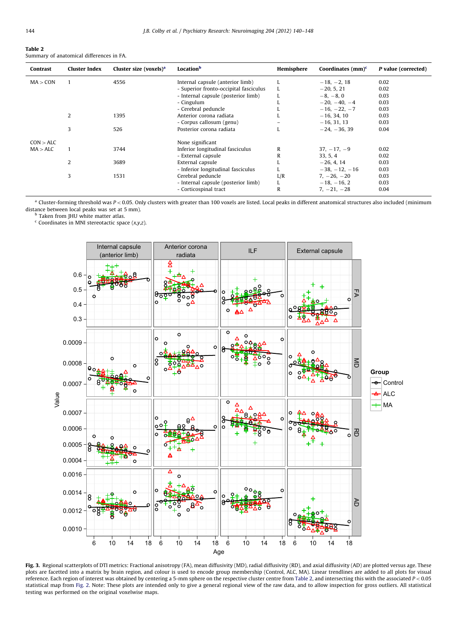#### <span id="page-4-0"></span>Table 2 Summary of anatomical differences in FA.

| Contrast  | <b>Cluster Index</b> | Cluster size (voxels) <sup>a</sup> | Location <sup>b</sup>                  | Hemisphere | Coordinates $(mm)^c$ | P value (corrected) |
|-----------|----------------------|------------------------------------|----------------------------------------|------------|----------------------|---------------------|
| MA > CON  |                      | 4556                               | Internal capsule (anterior limb)       |            | $-18, -2, 18$        | 0.02                |
|           |                      |                                    | - Superior fronto-occipital fasciculus |            | $-20, 5, 21$         | 0.02                |
|           |                      |                                    | - Internal capsule (posterior limb)    |            | $-8, -8, 0$          | 0.03                |
|           |                      |                                    | - Cingulum                             |            | $-20, -40, -4$       | 0.03                |
|           |                      |                                    | - Cerebral peduncle                    |            | $-16, -22, -7$       | 0.03                |
|           |                      | 1395                               | Anterior corona radiata                |            | $-16, 34, 10$        | 0.03                |
|           |                      |                                    | - Corpus callosum (genu)               |            | $-16, 31, 13$        | 0.03                |
|           | 3                    | 526                                | Posterior corona radiata               |            | $-24, -36, 39$       | 0.04                |
| CON > ALC |                      |                                    | None significant                       |            |                      |                     |
| MA > ALC  |                      | 3744                               | Inferior longitudinal fasciculus       | R          | $37, -17, -9$        | 0.02                |
|           |                      |                                    | - External capsule                     | R          | 33, 5, 4             | 0.02                |
|           | 2                    | 3689                               | External capsule                       |            | $-26, 4, 14$         | 0.03                |
|           |                      |                                    | - Inferior longitudinal fasciculus     |            | $-38, -12, -16$      | 0.03                |
|           | 3                    | 1531                               | Cerebral peduncle                      | L/R        | $7, -26, -20$        | 0.03                |
|           |                      |                                    | - Internal capsule (posterior limb)    |            | $-18, -16, 2$        | 0.03                |
|           |                      |                                    | - Corticospinal tract                  | R          | $7, -21, -28$        | 0.04                |

 $a$  Cluster-forming threshold was  $P < 0.05$ . Only clusters with greater than 100 voxels are listed. Local peaks in different anatomical structures also included (minimum distance between local peaks was set at 5 mm).

**b** Taken from JHU white matter atlas.

 $c$  Coordinates in MNI stereotactic space  $(x,y,z)$ .



Fig. 3. Regional scatterplots of DTI metrics: Fractional anisotropy (FA), mean diffusivity (MD), radial diffusivity (RD), and axial diffusivity (AD) are plotted versus age. These plots are facetted into a matrix by brain region, and colour is used to encode group membership (Control, ALC, MA). Linear trendlines are added to all plots for visual reference. Each region of interest was obtained by centering a 5-mm sphere on the respective cluster centre from Table 2, and intersecting this with the associated  $P < 0.05$ statistical map from [Fig. 2.](#page-2-0) Note: These plots are intended only to give a general regional view of the raw data, and to allow inspection for gross outliers. All statistical testing was performed on the original voxelwise maps.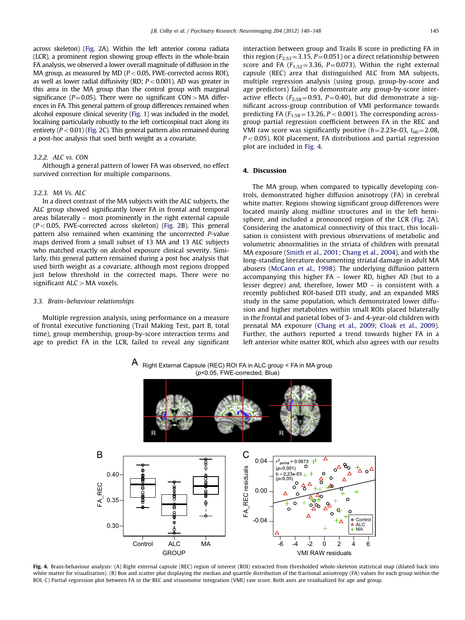<span id="page-5-0"></span>across skeleton) [\(Fig. 2A](#page-2-0)). Within the left anterior corona radiata (LCR), a prominent region showing group effects in the whole-brain FA analysis, we observed a lower overall magnitude of diffusion in the MA group, as measured by MD ( $P < 0.05$ , FWE-corrected across ROI), as well as lower radial diffusivity (RD;  $P < 0.001$ ). AD was greater in this area in the MA group than the control group with marginal significance ( $P=0.05$ ). There were no significant CON > MA differences in FA. This general pattern of group differences remained when alcohol exposure clinical severity ([Fig. 1](#page-1-0)) was included in the model, localising particularly robustly to the left corticospinal tract along its entirety  $(P < 0.01)$  [\(Fig. 2](#page-2-0)C). This general pattern also remained during a post-hoc analysis that used birth weight as a covariate.

## 3.2.2. ALC vs. CON

Although a general pattern of lower FA was observed, no effect survived correction for multiple comparisons.

# 3.2.3. MA Vs. ALC

In a direct contrast of the MA subjects with the ALC subjects, the ALC group showed significantly lower FA in frontal and temporal areas bilaterally – most prominently in the right external capsule  $(P<0.05$ , FWE-corrected across skeleton) [\(Fig. 2](#page-2-0)B). This general pattern also remained when examining the uncorrected P-value maps derived from a small subset of 13 MA and 13 ALC subjects who matched exactly on alcohol exposure clinical severity. Similarly, this general pattern remained during a post hoc analysis that used birth weight as a covariate, although most regions dropped just below threshold in the corrected maps. There were no significant  $ALC > MA$  voxels.

#### 3.3. Brain–behaviour relationships

Multiple regression analysis, using performance on a measure of frontal executive functioning (Trail Making Test, part B, total time), group membership, group-by-score interaction terms and age to predict FA in the LCR, failed to reveal any significant interaction between group and Trails B score in predicting FA in this region ( $F_{2,52}$ =3.15, P=0.051) or a direct relationship between score and FA ( $F_{1,52}$ =3.36, P=0.073). Within the right external capsule (REC) area that distinguished ALC from MA subjects, multiple regression analysis (using group, group-by-score and age predictors) failed to demonstrate any group-by-score interactive effects ( $F_{2,58}$ =0.93, P=0.40), but did demonstrate a significant across-group contribution of VMI performance towards predicting FA ( $F_{1,58}$ =13.26, P < 0.001). The corresponding acrossgroup partial regression coefficient between FA in the REC and VMI raw score was significantly positive  $(b=2.23e-03, t_{60}=2.08,$  $P < 0.05$ ). ROI placement, FA distributions and partial regression plot are included in Fig. 4.

## 4. Discussion

The MA group, when compared to typically developing controls, demonstrated higher diffusion anisotropy (FA) in cerebral white matter. Regions showing significant group differences were located mainly along midline structures and in the left hemisphere, and included a pronounced region of the LCR [\(Fig. 2](#page-2-0)A). Considering the anatomical connectivity of this tract, this localisation is consistent with previous observations of metabolic and volumetric abnormalities in the striata of children with prenatal MA exposure [\(Smith et al., 2001;](#page-7-0) [Chang et al., 2004\)](#page-7-0), and with the long-standing literature documenting striatal damage in adult MA abusers [\(McCann et al., 1998](#page-7-0)). The underlying diffusion pattern accompanying this higher FA – lower RD, higher AD (but to a lesser degree) and, therefore, lower MD – is consistent with a recently published ROI-based DTI study, and an expanded MRS study in the same population, which demonstrated lower diffusion and higher metabolites within small ROIs placed bilaterally in the frontal and parietal lobes of 3- and 4-year-old children with prenatal MA exposure ([Chang et al., 2009](#page-7-0); [Cloak et al., 2009\)](#page-7-0). Further, the authors reported a trend towards higher FA in a left anterior white matter ROI, which also agrees with our results

 $\mathsf A$  Right External Capsule (REC) ROI FA in ALC group < FA in MA group (*p*<0.05, FWE-corrected, Blue)



Fig. 4. Brain-behaviour analysis: (A) Right external capsule (REC) region of interest (ROI) extracted from thresholded whole-skeleton statistical map (dilated back into white matter for visualisation). (B) Box and scatter plot displaying the median and quartile distribution of the fractional anisotropy (FA) values for each group within the ROI. C) Partial regression plot between FA in the REC and visuomotor integration (VMI) raw score. Both axes are residualized for age and group.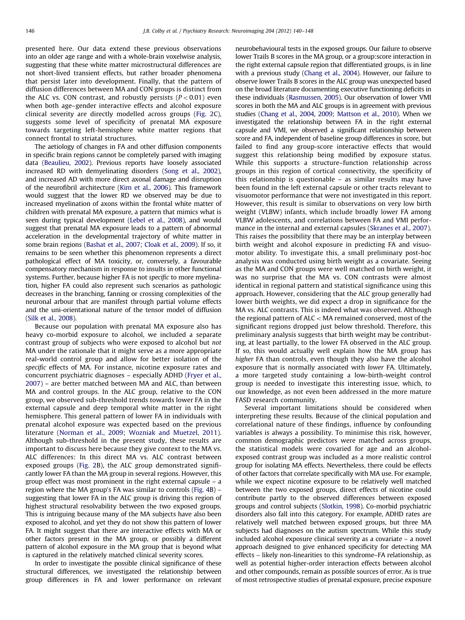presented here. Our data extend these previous observations into an older age range and with a whole-brain voxelwise analysis, suggesting that these white matter microstructural differences are not short-lived transient effects, but rather broader phenomena that persist later into development. Finally, that the pattern of diffusion differences between MA and CON groups is distinct from the ALC vs. CON contrast, and robustly persists  $(P<0.01)$  even when both age–gender interactive effects and alcohol exposure clinical severity are directly modelled across groups [\(Fig. 2C](#page-2-0)), suggests some level of specificity of prenatal MA exposure towards targeting left-hemisphere white matter regions that connect frontal to striatal structures.

The aetiology of changes in FA and other diffusion components in specific brain regions cannot be completely parsed with imaging data ([Beaulieu, 2002](#page-7-0)). Previous reports have loosely associated increased RD with demyelinating disorders ([Song et al., 2002\)](#page-8-0), and increased AD with more direct axonal damage and disruption of the neurofibril architecture [\(Kim et al., 2006](#page-7-0)). This framework would suggest that the lower RD we observed may be due to increased myelination of axons within the frontal white matter of children with prenatal MA exposure, a pattern that mimics what is seen during typical development ([Lebel et al., 2008\)](#page-7-0), and would suggest that prenatal MA exposure leads to a pattern of abnormal acceleration in the developmental trajectory of white matter in some brain regions [\(Bashat et al., 2007;](#page-7-0) [Cloak et al., 2009](#page-7-0)). If so, it remains to be seen whether this phenomenon represents a direct pathological effect of MA toxicity, or, conversely, a favourable compensatory mechanism in response to insults in other functional systems. Further, because higher FA is not specific to more myelination, higher FA could also represent such scenarios as pathologic decreases in the branching, fanning or crossing complexities of the neuronal arbour that are manifest through partial volume effects and the uni-orientational nature of the tensor model of diffusion ([Silk et al., 2008](#page-7-0)).

Because our population with prenatal MA exposure also has heavy co-morbid exposure to alcohol, we included a separate contrast group of subjects who were exposed to alcohol but not MA under the rationale that it might serve as a more appropriate real-world control group and allow for better isolation of the specific effects of MA. For instance, nicotine exposure rates and concurrent psychiatric diagnoses – especially ADHD [\(Fryer et al.,](#page-7-0) [2007\)](#page-7-0) – are better matched between MA and ALC, than between MA and control groups. In the ALC group, relative to the CON group, we observed sub-threshold trends towards lower FA in the external capsule and deep temporal white matter in the right hemisphere. This general pattern of lower FA in individuals with prenatal alcohol exposure was expected based on the previous literature [\(Norman et al., 2009;](#page-7-0) [Wozniak and Muetzel, 2011\)](#page-8-0). Although sub-threshold in the present study, these results are important to discuss here because they give context to the MA vs. ALC differences: In this direct MA vs. ALC contrast between exposed groups ([Fig. 2B](#page-2-0)), the ALC group demonstrated significantly lower FA than the MA group in several regions. However, this group effect was most prominent in the right external capsule – a region where the MA group's FA was similar to controls [\(Fig. 4B](#page-5-0)) – suggesting that lower FA in the ALC group is driving this region of highest structural resolvability between the two exposed groups. This is intriguing because many of the MA subjects have also been exposed to alcohol, and yet they do not show this pattern of lower FA. It might suggest that there are interactive effects with MA or other factors present in the MA group, or possibly a different pattern of alcohol exposure in the MA group that is beyond what is captured in the relatively matched clinical severity scores.

In order to investigate the possible clinical significance of these structural differences, we investigated the relationship between group differences in FA and lower performance on relevant

neurobehavioural tests in the exposed groups. Our failure to observe lower Trails B scores in the MA group, or a group:score interaction in the right external capsule region that differentiated groups, is in line with a previous study [\(Chang et al., 2004](#page-7-0)). However, our failure to observe lower Trails B scores in the ALC group was unexpected based on the broad literature documenting executive functioning deficits in these individuals [\(Rasmussen, 2005\)](#page-7-0). Our observation of lower VMI scores in both the MA and ALC groups is in agreement with previous studies [\(Chang et al., 2004](#page-7-0), [2009;](#page-7-0) [Mattson et al., 2010\)](#page-7-0). When we investigated the relationship between FA in the right external capsule and VMI, we observed a significant relationship between score and FA, independent of baseline group differences in score, but failed to find any group-score interactive effects that would suggest this relationship being modified by exposure status. While this supports a structure–function relationship across groups in this region of cortical connectivity, the specificity of this relationship is questionable – as similar results may have been found in the left external capsule or other tracts relevant to visuomotor performance that were not investigated in this report. However, this result is similar to observations on very low birth weight (VLBW) infants, which include broadly lower FA among VLBW adolescents, and correlations between FA and VMI performance in the internal and external capsules [\(Skranes et al., 2007\)](#page-7-0). This raises the possibility that there may be an interplay between birth weight and alcohol exposure in predicting FA and visuomotor ability. To investigate this, a small preliminary post-hoc analysis was conducted using birth weight as a covariate. Seeing as the MA and CON groups were well matched on birth weight, it was no surprise that the MA vs. CON contrasts were almost identical in regional pattern and statistical significance using this approach. However, considering that the ALC group generally had lower birth weights, we did expect a drop in significance for the MA vs. ALC contrasts. This is indeed what was observed. Although the regional pattern of ALC  $<$  MA remained conserved, most of the significant regions dropped just below threshold. Therefore, this preliminary analysis suggests that birth weight may be contributing, at least partially, to the lower FA observed in the ALC group. If so, this would actually well explain how the MA group has higher FA than controls, even though they also have the alcohol exposure that is normally associated with lower FA. Ultimately, a more targeted study containing a low-birth-weight control group is needed to investigate this interesting issue, which, to our knowledge, as not even been addressed in the more mature FASD research community.

Several important limitations should be considered when interpreting these results. Because of the clinical population and correlational nature of these findings, influence by confounding variables is always a possibility. To minimise this risk, however, common demographic predictors were matched across groups, the statistical models were covaried for age and an alcoholexposed contrast group was included as a more realistic control group for isolating MA effects. Nevertheless, there could be effects of other factors that correlate specifically with MA use. For example, while we expect nicotine exposure to be relatively well matched between the two exposed groups, direct effects of nicotine could contribute partly to the observed differences between exposed groups and control subjects [\(Slotkin, 1998\)](#page-7-0). Co-morbid psychiatric disorders also fall into this category. For example, ADHD rates are relatively well matched between exposed groups, but three MA subjects had diagnoses on the autism spectrum. While this study included alcohol exposure clinical severity as a covariate – a novel approach designed to give enhanced specificity for detecting MA effects – likely non-linearities to this syndrome–FA relationship, as well as potential higher-order interaction effects between alcohol and other compounds, remain as possible sources of error. As is true of most retrospective studies of prenatal exposure, precise exposure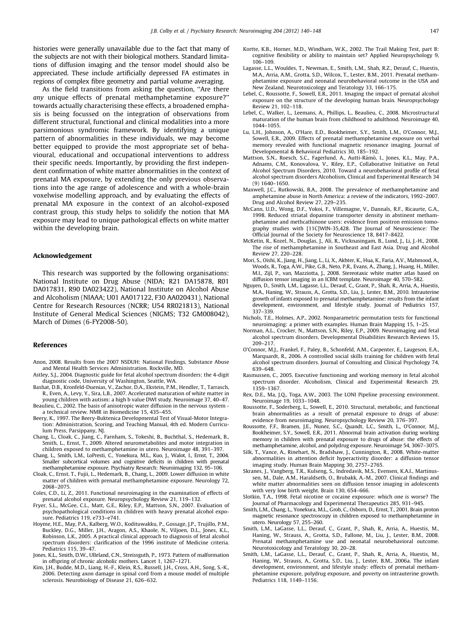<span id="page-7-0"></span>histories were generally unavailable due to the fact that many of the subjects are not with their biological mothers. Standard limitations of diffusion imaging and the tensor model should also be appreciated. These include artificially depressed FA estimates in regions of complex fibre geometry and partial volume averaging.

As the field transitions from asking the question, ''Are there any unique effects of prenatal methamphetamine exposure?'' towards actually characterising these effects, a broadened emphasis is being focussed on the integration of observations from different structural, functional and clinical modalities into a more parsimonious syndromic framework. By identifying a unique pattern of abnormalities in these individuals, we may become better equipped to provide the most appropriate set of behavioural, educational and occupational interventions to address their specific needs. Importantly, by providing the first independent confirmation of white matter abnormalities in the context of prenatal MA exposure, by extending the only previous observations into the age range of adolescence and with a whole-brain voxelwise modelling approach, and by evaluating the effects of prenatal MA exposure in the context of an alcohol-exposed contrast group, this study helps to solidify the notion that MA exposure may lead to unique pathological effects on white matter within the developing brain.

## Acknowledgement

This research was supported by the following organisations: National Institute on Drug Abuse (NIDA; R21 DA15878, R01 DA017831, R90 DA023422), National Institute on Alcohol Abuse and Alcoholism (NIAAA; U01 AA017122, F30 AA020431), National Centre for Research Resources (NCRR; U54 RR021813), National Institute of General Medical Sciences (NIGMS; T32 GM008042), March of Dimes (6-FY2008-50).

#### References

- Anon, 2008. Results from the 2007 NSDUH: National Findings, Substance Abuse and Mental Health Services Administration. Rockville, MD.
- Astley, S.J., 2004. Diagnostic guide for fetal alcohol spectrum disorders: the 4-digit diagnostic code, University of Washington, Seattle, WA.
- Bashat, D.B., Kronfeld-Duenias, V., Zachor, D.A., Ekstein, P.M., Hendler, T., Tarrasch, R., Even, A., Levy, Y., Sira, L.B., 2007. Accelerated maturation of white matter in young children with autism: a high b value DWI study. Neuroimage 37, 40–47.
- Beaulieu, C., 2002. The basis of anisotropic water diffusion in the nervous system a technical review. NMR in Biomedicine 15, 435–455.
- Beery, K., 1997. The Beery-Buktenica Developmental Test of Visual-Motor Integration: Administration, Scoring, and Teaching Manual, 4th ed. Modern Curriculum Press, Parsippany, NJ.
- Chang, L., Cloak, C., Jiang, C., Farnham, S., Tokeshi, B., Buchthal, S., Hedemark, B., Smith, L., Ernst, T., 2009. Altered neurometabolites and motor integration in children exposed to methamphetamine in utero. Neuroimage 48, 391–397.
- Chang, L., Smith, L.M., LoPresti, C., Yonekura, M.L., Kuo, J., Walot, I., Ernst, T., 2004. Smaller subcortical volumes and cognitive deficits in children with prenatal methamphetamine exposure. Psychiatry Research: Neuroimaging 132, 95–106.
- Cloak, C., Ernst, T., Fujii, L., Hedemark, B., Chang, L., 2009. Lower diffusion in white matter of children with prenatal methamphetamine exposure. Neurology 72, 2068–2075.
- Coles, C.D., Li, Z., 2011. Functional neuroimaging in the examination of effects of prenatal alcohol exposure. Neuropsychology Review 21, 119–132.
- Fryer, S.L., McGee, C.L., Matt, G.E., Riley, E.P., Mattson, S.N., 2007. Evaluation of psychopathological conditions in children with heavy prenatal alcohol exposure. Pediatrics 119, e733–e741.
- Hoyme, H.E., May, P.A., Kalberg, W.O., Kodituwakku, P., Gossage, J.P., Trujillo, P.M., Buckley, D.G., Miller, J.H., Aragon, A.S., Khaole, N., Viljoen, D.L., Jones, K.L., Robinson, L.K., 2005. A practical clinical approach to diagnosis of fetal alcohol spectrum disorders: clarification of the 1996 institute of Medicine criteria. Pediatrics 115, 39–47.
- Jones, K.L., Smith, D.W., Ulleland, C.N., Streissguth, P., 1973. Pattern of malformation in offspring of chronic alcoholic mothers. Lancet 1, 1267–1271.
- Kim, J.H., Budde, M.D., Liang, H.-F., Klein, R.S., Russell, J.H., Cross, A.H., Song, S.-K., 2006. Detecting axon damage in spinal cord from a mouse model of multiple sclerosis. Neurobiology of Disease 21, 626–632.
- Kortte, K.B., Horner, M.D., Windham, W.K., 2002. The Trail Making Test, part B: cognitive flexibility or ability to maintain set? Applied Neuropsychology 9, 106–109.
- Lagasse, L.L., Wouldes, T., Newman, E., Smith, L.M., Shah, R.Z., Derauf, C., Huestis, M.A., Arria, A.M., Grotta, S.D., Wilcox, T., Lester, B.M., 2011. Prenatal methamphetamine exposure and neonatal neurobehavioral outcome in the USA and
- New Zealand. Neurotoxicology and Teratology 33, 166–175. Lebel, C., Roussotte, F., Sowell, E.R., 2011. Imaging the impact of prenatal alcohol exposure on the structure of the developing human brain. Neuropsychology Review 21, 102–118.
- Lebel, C., Walker, L., Leemans, A., Phillips, L., Beaulieu, C., 2008. Microstructural maturation of the human brain from childhood to adulthood. Neuroimage 40, 1044–1055.
- Lu, L.H., Johnson, A., O'Hare, E.D., Bookheimer, S.Y., Smith, L.M., O'Connor, M.J., Sowell, E.R., 2009. Effects of prenatal methamphetamine exposure on verbal memory revealed with functional magnetic resonance imaging. Journal of Developmental & Behavioral Pediatrics 30, 185–192.
- Mattson, S.N., Roesch, S.C., Fagerlund, A., Autti-Rämö, I., Jones, K.L., May, P.A., Adnams, C.M., Konovalova, V., Riley, E.P., Collaborative Initiative on Fetal Alcohol Spectrum Disorders, 2010. Toward a neurobehavioral profile of fetal alcohol spectrum disorders Alcoholism, Clinical and Experimental Research 34 (9) 1640–1650.
- Maxwell, J.C., Rutkowski, B.A., 2008. The prevalence of methamphetamine and amphetamine abuse in North America: a review of the indicators, 1992–2007. Drug and Alcohol Review 27, 229–235.
- McCann, U.D., Wong, D.F., Yokoi, F., Villemagne, V., Dannals, R.F., Ricaurte, G.A., 1998. Reduced striatal dopamine transporter density in abstinent methamphetamine and methcathinone users: evidence from positron emission tomography studies with [11C]WIN-35,428. The Journal of Neuroscience: The Official Journal of the Society for Neuroscience 18, 8417–8422.
- McKetin, R., Kozel, N., Douglas, J., Ali, R., Vicknasingam, B., Lund, J., Li, J.-H., 2008. The rise of methamphetamine in Southeast and East Asia. Drug and Alcohol Review 27, 220–228.
- Mori, S., Oishi, K., Jiang, H., Jiang, L., Li, X., Akhter, K., Hua, K., Faria, A.V., Mahmood, A., Woods, R., Toga, A.W., Pike, G.B., Neto, P.R., Evans, A., Zhang, J., Huang, H., Miller, M.I., Zijl, P., van, Mazziotta, J., 2008. Stereotaxic white matter atlas based on diffusion tensor imaging in an ICBM template. Neuroimage 40, 570–582.
- Nguyen, D., Smith, L.M., Lagasse, L.L., Derauf, C., Grant, P., Shah, R., Arria, A., Huestis, M.A., Haning, W., Strauss, A., Grotta, S.D., Liu, J., Lester, B.M., 2010. Intrauterine growth of infants exposed to prenatal methamphetamine: results from the infant development, environment, and lifestyle study. Journal of Pediatrics 157, 337–339.
- Nichols, T.E., Holmes, A.P., 2002. Nonparametric permutation tests for functional neuroimaging: a primer with examples. Human Brain Mapping 15, 1–25.
- Norman, A.L., Crocker, N., Mattson, S.N., Riley, E.P., 2009. Neuroimaging and fetal alcohol spectrum disorders. Developmental Disabilities Research Reviews 15, 209–217.
- O'Connor, M.J., Frankel, F., Paley, B., Schonfeld, A.M., Carpenter, E., Laugeson, E.A., Marquardt, R., 2006. A controlled social skills training for children with fetal alcohol spectrum disorders. Journal of Consulting and Clinical Psychology 74, 639–648.
- Rasmussen, C., 2005. Executive functioning and working memory in fetal alcohol spectrum disorder. Alcoholism, Clinical and Experimental Research 29, 1359–1367.
- Rex, D.E., Ma, J.Q., Toga, A.W., 2003. The LONI Pipeline processing environment. Neuroimage 19, 1033–1048.
- Roussotte, F., Soderberg, L., Sowell, E., 2010. Structural, metabolic, and functional brain abnormalities as a result of prenatal exposure to drugs of abuse: evidence from neuroimaging. Neuropsychology Review 20, 376–397.
- Roussotte, F.F., Bramen, J.E., Nunez, S.C., Quandt, L.C., Smith, L., O'Connor, M.J., Bookheimer, S.Y., Sowell, E.R., 2011. Abnormal brain activation during working memory in children with prenatal exposure to drugs of abuse: the effects of methamphetamine, alcohol, and polydrug exposure. Neuroimage 54, 3067–3075.
- Silk, T., Vance, A., Rinehart, N., Bradshaw, J., Cunnington, R., 2008. White-matter abnormalities in attention deficit hyperactivity disorder: a diffusion tensor imaging study. Human Brain Mapping 30, 2757–2765.
- Skranes, J., Vangberg, T.R., Kulseng, S., Indredavik, M.S., Evensen, K.A.I., Martinussen, M., Dale, A.M., Haraldseth, O., Brubakk, A.-M., 2007. Clinical findings and white matter abnormalities seen on diffusion tensor imaging in adolescents with very low birth weight. Brain 130, 654–666.
- Slotkin, T.A., 1998. Fetal nicotine or cocaine exposure: which one is worse? The Journal of Pharmacology and Experimental Therapeutics 285, 931–945.
- Smith, L.M., Chang, L., Yonekura, M.L., Grob, C., Osborn, D., Ernst, T., 2001. Brain proton magnetic resonance spectroscopy in children exposed to methamphetamine in utero. Neurology 57, 255–260.
- Smith, L.M., LaGasse, L.L., Derauf, C., Grant, P., Shah, R., Arria, A., Huestis, M., Haning, W., Strauss, A., Grotta, S.D., Fallone, M., Liu, J., Lester, B.M., 2008. Prenatal methamphetamine use and neonatal neurobehavioral outcome. Neurotoxicology and Teratology 30, 20–28.
- Smith, L.M., LaGasse, L.L., Derauf, C., Grant, P., Shah, R., Arria, A., Huestis, M., Haning, W., Strauss, A., Grotta, S.D., Liu, J., Lester, B.M., 2006a. The infant development, environment, and lifestyle study: effects of prenatal methamphetamine exposure, polydrug exposure, and poverty on intrauterine growth. Pediatrics 118, 1149–1156.